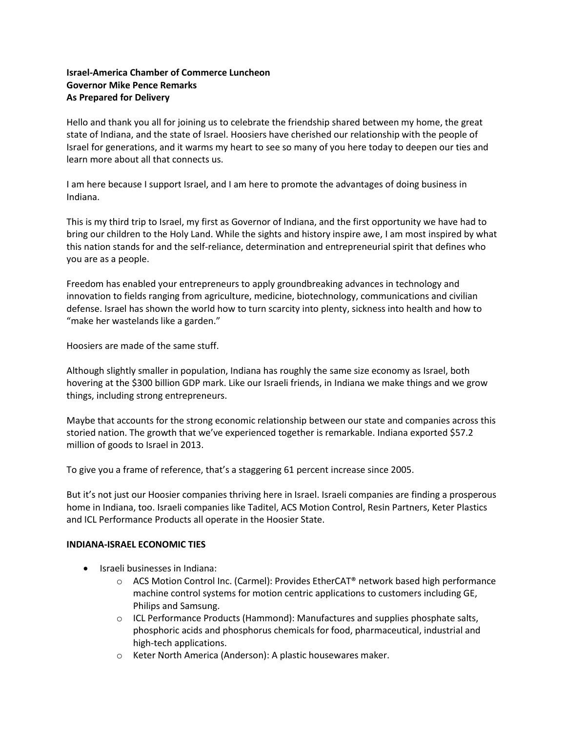## **Israel-America Chamber of Commerce Luncheon Governor Mike Pence Remarks As Prepared for Delivery**

Hello and thank you all for joining us to celebrate the friendship shared between my home, the great state of Indiana, and the state of Israel. Hoosiers have cherished our relationship with the people of Israel for generations, and it warms my heart to see so many of you here today to deepen our ties and learn more about all that connects us.

I am here because I support Israel, and I am here to promote the advantages of doing business in Indiana.

This is my third trip to Israel, my first as Governor of Indiana, and the first opportunity we have had to bring our children to the Holy Land. While the sights and history inspire awe, I am most inspired by what this nation stands for and the self-reliance, determination and entrepreneurial spirit that defines who you are as a people.

Freedom has enabled your entrepreneurs to apply groundbreaking advances in technology and innovation to fields ranging from agriculture, medicine, biotechnology, communications and civilian defense. Israel has shown the world how to turn scarcity into plenty, sickness into health and how to "make her wastelands like a garden."

Hoosiers are made of the same stuff.

Although slightly smaller in population, Indiana has roughly the same size economy as Israel, both hovering at the \$300 billion GDP mark. Like our Israeli friends, in Indiana we make things and we grow things, including strong entrepreneurs.

Maybe that accounts for the strong economic relationship between our state and companies across this storied nation. The growth that we've experienced together is remarkable. Indiana exported \$57.2 million of goods to Israel in 2013.

To give you a frame of reference, that's a staggering 61 percent increase since 2005.

But it's not just our Hoosier companies thriving here in Israel. Israeli companies are finding a prosperous home in Indiana, too. Israeli companies like Taditel, ACS Motion Control, Resin Partners, Keter Plastics and ICL Performance Products all operate in the Hoosier State.

## **INDIANA-ISRAEL ECONOMIC TIES**

- Israeli businesses in Indiana:
	- $\circ$  ACS Motion Control Inc. (Carmel): Provides EtherCAT<sup>®</sup> network based high performance machine control systems for motion centric applications to customers including GE, Philips and Samsung.
	- $\circ$  ICL Performance Products (Hammond): Manufactures and supplies phosphate salts, phosphoric acids and phosphorus chemicals for food, pharmaceutical, industrial and high-tech applications.
	- o Keter North America (Anderson): A plastic housewares maker.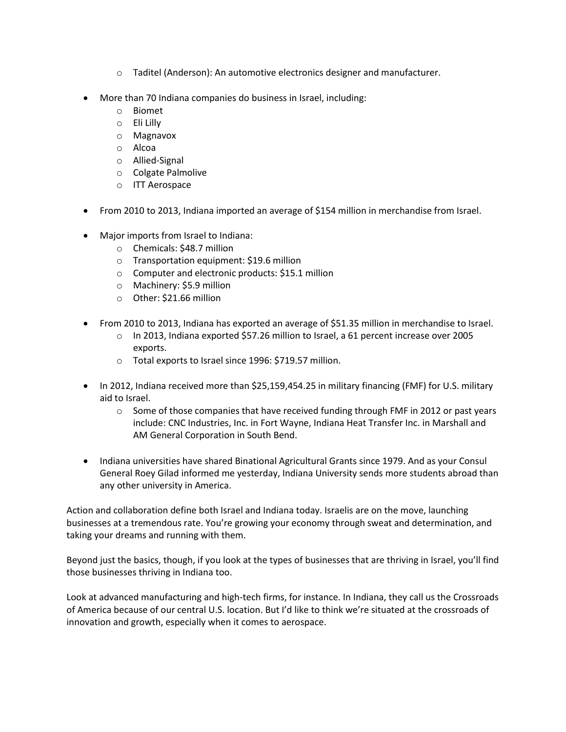- o Taditel (Anderson): An automotive electronics designer and manufacturer.
- More than 70 Indiana companies do business in Israel, including:
	- o Biomet
	- o Eli Lilly
	- o Magnavox
	- o Alcoa
	- o Allied-Signal
	- o Colgate Palmolive
	- o ITT Aerospace
- From 2010 to 2013, Indiana imported an average of \$154 million in merchandise from Israel.
- Major imports from Israel to Indiana:
	- o Chemicals: \$48.7 million
	- o Transportation equipment: \$19.6 million
	- o Computer and electronic products: \$15.1 million
	- o Machinery: \$5.9 million
	- o Other: \$21.66 million
- From 2010 to 2013, Indiana has exported an average of \$51.35 million in merchandise to Israel.
	- $\circ$  In 2013, Indiana exported \$57.26 million to Israel, a 61 percent increase over 2005 exports.
	- o Total exports to Israel since 1996: \$719.57 million.
- In 2012, Indiana received more than \$25,159,454.25 in military financing (FMF) for U.S. military aid to Israel.
	- $\circ$  Some of those companies that have received funding through FMF in 2012 or past years include: CNC Industries, Inc. in Fort Wayne, Indiana Heat Transfer Inc. in Marshall and AM General Corporation in South Bend.
- Indiana universities have shared Binational Agricultural Grants since 1979. And as your Consul General Roey Gilad informed me yesterday, Indiana University sends more students abroad than any other university in America.

Action and collaboration define both Israel and Indiana today. Israelis are on the move, launching businesses at a tremendous rate. You're growing your economy through sweat and determination, and taking your dreams and running with them.

Beyond just the basics, though, if you look at the types of businesses that are thriving in Israel, you'll find those businesses thriving in Indiana too.

Look at advanced manufacturing and high-tech firms, for instance. In Indiana, they call us the Crossroads of America because of our central U.S. location. But I'd like to think we're situated at the crossroads of innovation and growth, especially when it comes to aerospace.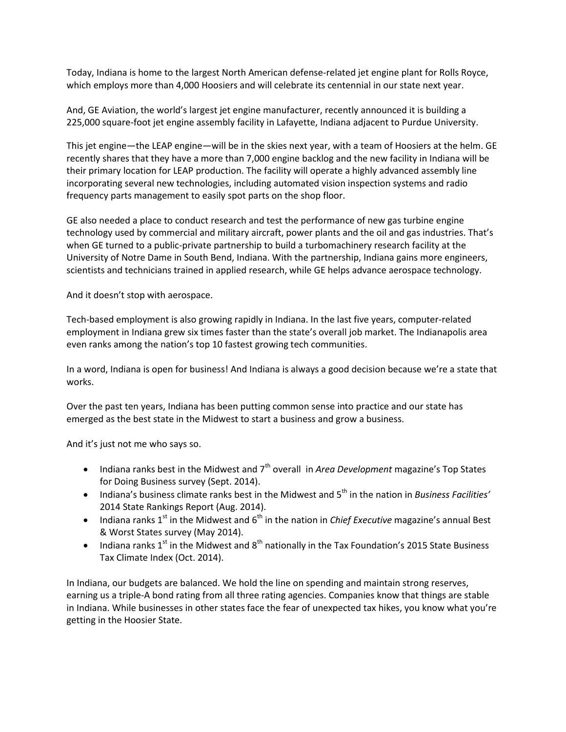Today, Indiana is home to the largest North American defense-related jet engine plant for Rolls Royce, which employs more than 4,000 Hoosiers and will celebrate its centennial in our state next year.

And, GE Aviation, the world's largest jet engine manufacturer, recently announced it is building a 225,000 square-foot jet engine assembly facility in Lafayette, Indiana adjacent to Purdue University.

This jet engine—the LEAP engine—will be in the skies next year, with a team of Hoosiers at the helm. GE recently shares that they have a more than 7,000 engine backlog and the new facility in Indiana will be their primary location for LEAP production. The facility will operate a highly advanced assembly line incorporating several new technologies, including automated vision inspection systems and radio frequency parts management to easily spot parts on the shop floor.

GE also needed a place to conduct research and test the performance of new gas turbine engine technology used by commercial and military aircraft, power plants and the oil and gas industries. That's when GE turned to a public-private partnership to build a turbomachinery research facility at the University of Notre Dame in South Bend, Indiana. With the partnership, Indiana gains more engineers, scientists and technicians trained in applied research, while GE helps advance aerospace technology.

And it doesn't stop with aerospace.

Tech-based employment is also growing rapidly in Indiana. In the last five years, computer-related employment in Indiana grew six times faster than the state's overall job market. The Indianapolis area even ranks among the nation's top 10 fastest growing tech communities.

In a word, Indiana is open for business! And Indiana is always a good decision because we're a state that works.

Over the past ten years, Indiana has been putting common sense into practice and our state has emerged as the best state in the Midwest to start a business and grow a business.

And it's just not me who says so.

- Indiana ranks best in the Midwest and 7<sup>th</sup> overall in *Area Development* magazine's Top States for Doing Business survey (Sept. 2014).
- Indiana's business climate ranks best in the Midwest and 5<sup>th</sup> in the nation in *Business Facilities'* 2014 State Rankings Report (Aug. 2014).
- $\bullet$  Indiana ranks 1<sup>st</sup> in the Midwest and 6<sup>th</sup> in the nation in *Chief Executive* magazine's annual Best & Worst States survey (May 2014).
- Indiana ranks 1<sup>st</sup> in the Midwest and 8<sup>th</sup> nationally in the Tax Foundation's 2015 State Business Tax Climate Index (Oct. 2014).

In Indiana, our budgets are balanced. We hold the line on spending and maintain strong reserves, earning us a triple-A bond rating from all three rating agencies. Companies know that things are stable in Indiana. While businesses in other states face the fear of unexpected tax hikes, you know what you're getting in the Hoosier State.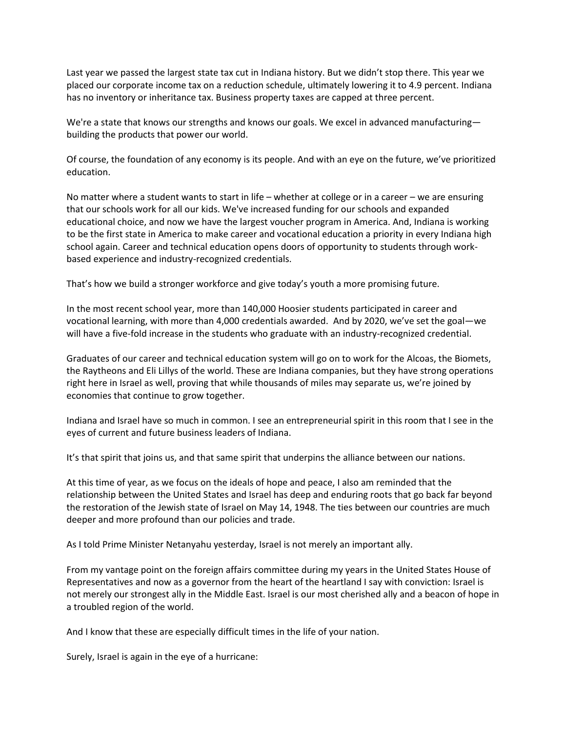Last year we passed the largest state tax cut in Indiana history. But we didn't stop there. This year we placed our corporate income tax on a reduction schedule, ultimately lowering it to 4.9 percent. Indiana has no inventory or inheritance tax. Business property taxes are capped at three percent.

We're a state that knows our strengths and knows our goals. We excel in advanced manufacturing building the products that power our world.

Of course, the foundation of any economy is its people. And with an eye on the future, we've prioritized education.

No matter where a student wants to start in life – whether at college or in a career – we are ensuring that our schools work for all our kids. We've increased funding for our schools and expanded educational choice, and now we have the largest voucher program in America. And, Indiana is working to be the first state in America to make career and vocational education a priority in every Indiana high school again. Career and technical education opens doors of opportunity to students through workbased experience and industry-recognized credentials.

That's how we build a stronger workforce and give today's youth a more promising future.

In the most recent school year, more than 140,000 Hoosier students participated in career and vocational learning, with more than 4,000 credentials awarded. And by 2020, we've set the goal—we will have a five-fold increase in the students who graduate with an industry-recognized credential.

Graduates of our career and technical education system will go on to work for the Alcoas, the Biomets, the Raytheons and Eli Lillys of the world. These are Indiana companies, but they have strong operations right here in Israel as well, proving that while thousands of miles may separate us, we're joined by economies that continue to grow together.

Indiana and Israel have so much in common. I see an entrepreneurial spirit in this room that I see in the eyes of current and future business leaders of Indiana.

It's that spirit that joins us, and that same spirit that underpins the alliance between our nations.

At this time of year, as we focus on the ideals of hope and peace, I also am reminded that the relationship between the United States and Israel has deep and enduring roots that go back far beyond the restoration of the Jewish state of Israel on May 14, 1948. The ties between our countries are much deeper and more profound than our policies and trade.

As I told Prime Minister Netanyahu yesterday, Israel is not merely an important ally.

From my vantage point on the foreign affairs committee during my years in the United States House of Representatives and now as a governor from the heart of the heartland I say with conviction: Israel is not merely our strongest ally in the Middle East. Israel is our most cherished ally and a beacon of hope in a troubled region of the world.

And I know that these are especially difficult times in the life of your nation.

Surely, Israel is again in the eye of a hurricane: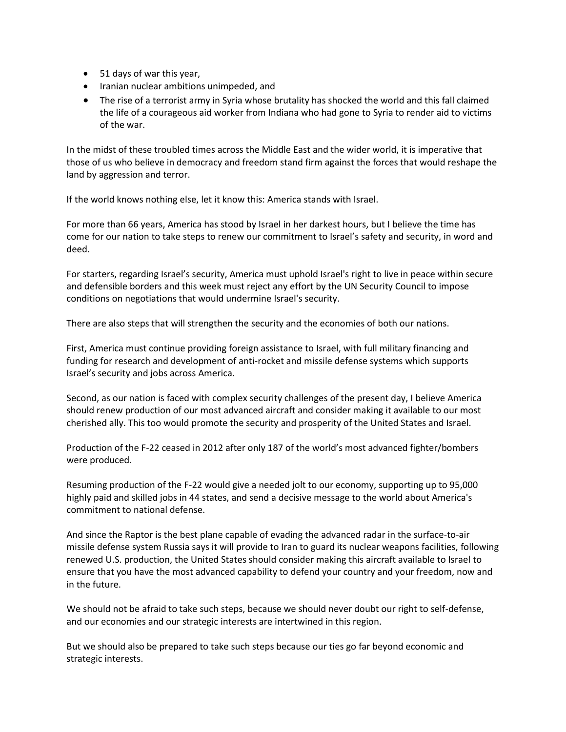- 51 days of war this year,
- Iranian nuclear ambitions unimpeded, and
- The rise of a terrorist army in Syria whose brutality has shocked the world and this fall claimed the life of a courageous aid worker from Indiana who had gone to Syria to render aid to victims of the war.

In the midst of these troubled times across the Middle East and the wider world, it is imperative that those of us who believe in democracy and freedom stand firm against the forces that would reshape the land by aggression and terror.

If the world knows nothing else, let it know this: America stands with Israel.

For more than 66 years, America has stood by Israel in her darkest hours, but I believe the time has come for our nation to take steps to renew our commitment to Israel's safety and security, in word and deed.

For starters, regarding Israel's security, America must uphold Israel's right to live in peace within secure and defensible borders and this week must reject any effort by the UN Security Council to impose conditions on negotiations that would undermine Israel's security.

There are also steps that will strengthen the security and the economies of both our nations.

First, America must continue providing foreign assistance to Israel, with full military financing and funding for research and development of anti-rocket and missile defense systems which supports Israel's security and jobs across America.

Second, as our nation is faced with complex security challenges of the present day, I believe America should renew production of our most advanced aircraft and consider making it available to our most cherished ally. This too would promote the security and prosperity of the United States and Israel.

Production of the F-22 ceased in 2012 after only 187 of the world's most advanced fighter/bombers were produced.

Resuming production of the F-22 would give a needed jolt to our economy, supporting up to 95,000 highly paid and skilled jobs in 44 states, and send a decisive message to the world about America's commitment to national defense.

And since the Raptor is the best plane capable of evading the advanced radar in the surface-to-air missile defense system Russia says it will provide to Iran to guard its nuclear weapons facilities, following renewed U.S. production, the United States should consider making this aircraft available to Israel to ensure that you have the most advanced capability to defend your country and your freedom, now and in the future.

We should not be afraid to take such steps, because we should never doubt our right to self-defense, and our economies and our strategic interests are intertwined in this region.

But we should also be prepared to take such steps because our ties go far beyond economic and strategic interests.